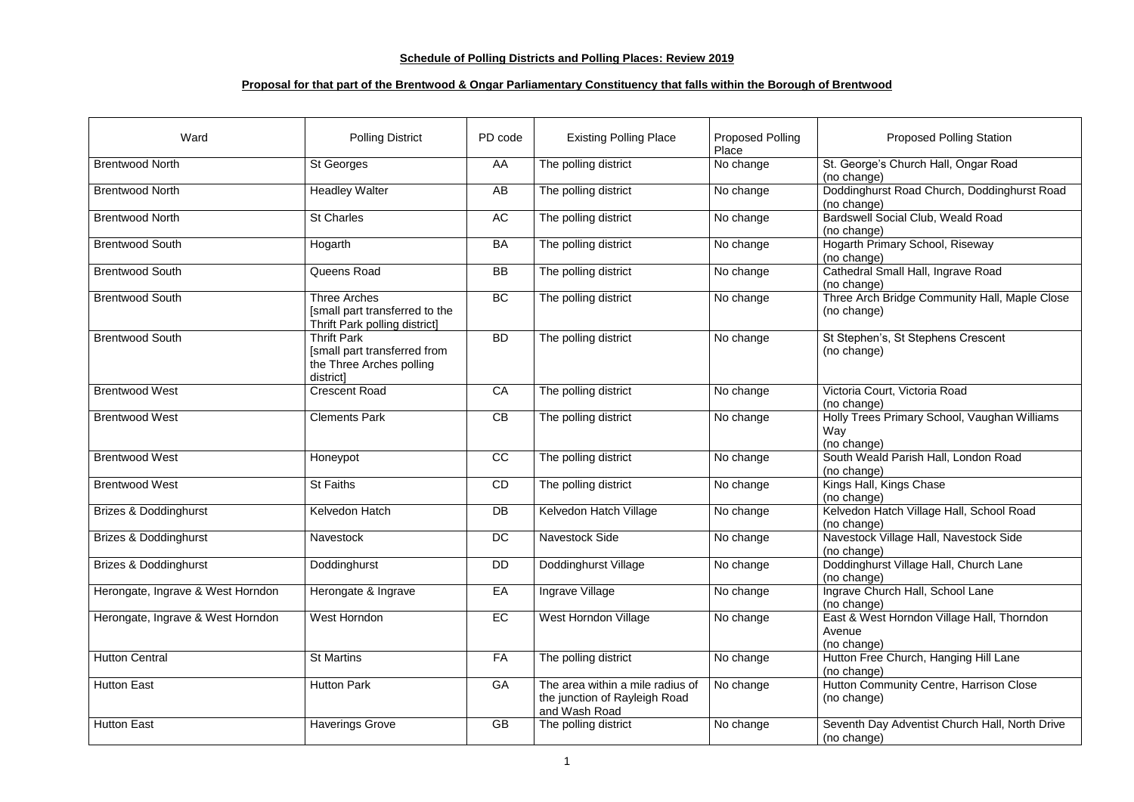## **Schedule of Polling Districts and Polling Places: Review 2019**

## **Proposal for that part of the Brentwood & Ongar Parliamentary Constituency that falls within the Borough of Brentwood**

| Ward                              | <b>Polling District</b>                                                                       | PD code   | <b>Existing Polling Place</b>                                                      | <b>Proposed Polling</b><br>Place | <b>Proposed Polling Station</b>                                     |
|-----------------------------------|-----------------------------------------------------------------------------------------------|-----------|------------------------------------------------------------------------------------|----------------------------------|---------------------------------------------------------------------|
| <b>Brentwood North</b>            | <b>St Georges</b>                                                                             | AA        | The polling district                                                               | No change                        | St. George's Church Hall, Ongar Road<br>(no change)                 |
| <b>Brentwood North</b>            | <b>Headley Walter</b>                                                                         | AB        | The polling district                                                               | No change                        | Doddinghurst Road Church, Doddinghurst Road<br>(no change)          |
| <b>Brentwood North</b>            | <b>St Charles</b>                                                                             | AC        | The polling district                                                               | No change                        | <b>Bardswell Social Club, Weald Road</b><br>(no change)             |
| <b>Brentwood South</b>            | Hogarth                                                                                       | <b>BA</b> | The polling district                                                               | No change                        | <b>Hogarth Primary School, Riseway</b><br>(no change)               |
| <b>Brentwood South</b>            | Queens Road                                                                                   | <b>BB</b> | The polling district                                                               | No change                        | Cathedral Small Hall, Ingrave Road<br>(no change)                   |
| <b>Brentwood South</b>            | <b>Three Arches</b><br>[small part transferred to the<br><b>Thrift Park polling district]</b> | BC        | The polling district                                                               | No change                        | Three Arch Bridge Community Hall, Maple Close<br>(no change)        |
| <b>Brentwood South</b>            | <b>Thrift Park</b><br>[small part transferred from<br>the Three Arches polling<br>district]   | <b>BD</b> | The polling district                                                               | No change                        | St Stephen's, St Stephens Crescent<br>(no change)                   |
| <b>Brentwood West</b>             | <b>Crescent Road</b>                                                                          | CA        | The polling district                                                               | No change                        | Victoria Court, Victoria Road<br>(no change)                        |
| <b>Brentwood West</b>             | <b>Clements Park</b>                                                                          | CB        | The polling district                                                               | No change                        | Holly Trees Primary School, Vaughan Williams<br>Way<br>(no change)  |
| <b>Brentwood West</b>             | Honeypot                                                                                      | CC        | The polling district                                                               | No change                        | South Weald Parish Hall, London Road<br>(no change)                 |
| <b>Brentwood West</b>             | <b>St Faiths</b>                                                                              | CD        | The polling district                                                               | No change                        | Kings Hall, Kings Chase<br>(no change)                              |
| <b>Brizes &amp; Doddinghurst</b>  | Kelvedon Hatch                                                                                | DB        | Kelvedon Hatch Village                                                             | No change                        | Kelvedon Hatch Village Hall, School Road<br>(no change)             |
| <b>Brizes &amp; Doddinghurst</b>  | <b>Navestock</b>                                                                              | DC        | <b>Navestock Side</b>                                                              | No change                        | Navestock Village Hall, Navestock Side<br>(no change)               |
| <b>Brizes &amp; Doddinghurst</b>  | Doddinghurst                                                                                  | <b>DD</b> | Doddinghurst Village                                                               | No change                        | Doddinghurst Village Hall, Church Lane<br>(no change)               |
| Herongate, Ingrave & West Horndon | Herongate & Ingrave                                                                           | EA        | Ingrave Village                                                                    | No change                        | Ingrave Church Hall, School Lane<br>(no change)                     |
| Herongate, Ingrave & West Horndon | West Horndon                                                                                  | EC        | West Horndon Village                                                               | No change                        | East & West Horndon Village Hall, Thorndon<br>Avenue<br>(no change) |
| <b>Hutton Central</b>             | <b>St Martins</b>                                                                             | <b>FA</b> | The polling district                                                               | No change                        | Hutton Free Church, Hanging Hill Lane<br>(no change)                |
| <b>Hutton East</b>                | <b>Hutton Park</b>                                                                            | GA        | The area within a mile radius of<br>the junction of Rayleigh Road<br>and Wash Road | No change                        | Hutton Community Centre, Harrison Close<br>(no change)              |
| <b>Hutton East</b>                | <b>Haverings Grove</b>                                                                        | <b>GB</b> | The polling district                                                               | No change                        | Seventh Day Adventist Church Hall, North Drive<br>(no change)       |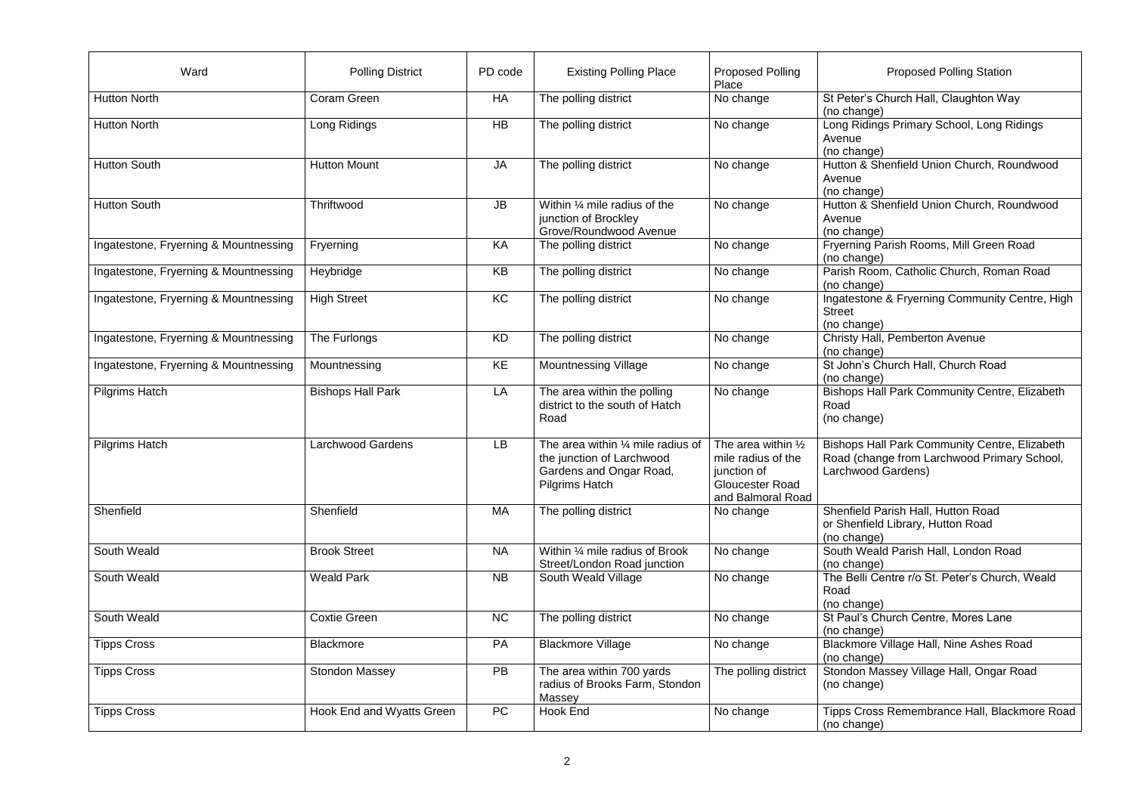| Ward                                  | <b>Polling District</b>   | PD code   | <b>Existing Polling Place</b>                                                                                                 | <b>Proposed Polling</b>                                                                                           | <b>Proposed Polling Station</b>                                                                                           |
|---------------------------------------|---------------------------|-----------|-------------------------------------------------------------------------------------------------------------------------------|-------------------------------------------------------------------------------------------------------------------|---------------------------------------------------------------------------------------------------------------------------|
|                                       |                           |           |                                                                                                                               | Place                                                                                                             |                                                                                                                           |
| <b>Hutton North</b>                   | Coram Green               | HA        | The polling district                                                                                                          | No change                                                                                                         | St Peter's Church Hall, Claughton Way<br>(no change)                                                                      |
| <b>Hutton North</b>                   | Long Ridings              | <b>HB</b> | The polling district                                                                                                          | No change                                                                                                         | Long Ridings Primary School, Long Ridings<br>Avenue<br>(no change)                                                        |
| <b>Hutton South</b>                   | <b>Hutton Mount</b>       | <b>JA</b> | The polling district                                                                                                          | No change                                                                                                         | Hutton & Shenfield Union Church, Roundwood<br>Avenue<br>(no change)                                                       |
| <b>Hutton South</b>                   | Thriftwood                | JB        | Within $\frac{1}{4}$ mile radius of the<br>junction of Brockley<br>Grove/Roundwood Avenue                                     | No change                                                                                                         | Hutton & Shenfield Union Church, Roundwood<br>Avenue<br>(no change)                                                       |
| Ingatestone, Fryerning & Mountnessing | Fryerning                 | KA        | The polling district                                                                                                          | No change                                                                                                         | Fryerning Parish Rooms, Mill Green Road<br>(no change)                                                                    |
| Ingatestone, Fryerning & Mountnessing | Heybridge                 | KB        | The polling district                                                                                                          | No change                                                                                                         | Parish Room, Catholic Church, Roman Road<br>(no change)                                                                   |
| Ingatestone, Fryerning & Mountnessing | <b>High Street</b>        | KC        | The polling district                                                                                                          | No change                                                                                                         | Ingatestone & Fryerning Community Centre, High<br><b>Street</b><br>(no change)                                            |
| Ingatestone, Fryerning & Mountnessing | The Furlongs              | KD        | The polling district                                                                                                          | No change                                                                                                         | Christy Hall, Pemberton Avenue<br>(no change)                                                                             |
| Ingatestone, Fryerning & Mountnessing | Mountnessing              | KE        | <b>Mountnessing Village</b>                                                                                                   | No change                                                                                                         | St John's Church Hall, Church Road<br>(no change)                                                                         |
| <b>Pilgrims Hatch</b>                 | <b>Bishops Hall Park</b>  | LA        | The area within the polling<br>district to the south of Hatch<br>Road                                                         | No change                                                                                                         | <b>Bishops Hall Park Community Centre, Elizabeth</b><br>Road<br>(no change)                                               |
| <b>Pilgrims Hatch</b>                 | <b>Larchwood Gardens</b>  | LB        | The area within $\frac{1}{4}$ mile radius of<br>the junction of Larchwood<br>Gardens and Ongar Road,<br><b>Pilgrims Hatch</b> | The area within $\frac{1}{2}$<br>mile radius of the<br>junction of<br><b>Gloucester Road</b><br>and Balmoral Road | <b>Bishops Hall Park Community Centre, Elizabeth</b><br>Road (change from Larchwood Primary School,<br>Larchwood Gardens) |
| Shenfield                             | Shenfield                 | MA        | The polling district                                                                                                          | No change                                                                                                         | Shenfield Parish Hall, Hutton Road<br>or Shenfield Library, Hutton Road<br>(no change)                                    |
| South Weald                           | <b>Brook Street</b>       | <b>NA</b> | Within 1/4 mile radius of Brook<br>Street/London Road junction                                                                | No change                                                                                                         | South Weald Parish Hall, London Road<br>(no change)                                                                       |
| South Weald                           | <b>Weald Park</b>         | <b>NB</b> | South Weald Village                                                                                                           | No change                                                                                                         | The Belli Centre r/o St. Peter's Church, Weald<br>Road<br>(no change)                                                     |
| South Weald                           | <b>Coxtie Green</b>       | <b>NC</b> | The polling district                                                                                                          | No change                                                                                                         | St Paul's Church Centre, Mores Lane<br>(no change)                                                                        |
| <b>Tipps Cross</b>                    | <b>Blackmore</b>          | PA        | <b>Blackmore Village</b>                                                                                                      | No change                                                                                                         | Blackmore Village Hall, Nine Ashes Road<br>(no change)                                                                    |
| <b>Tipps Cross</b>                    | <b>Stondon Massey</b>     | PB        | The area within 700 yards<br>radius of Brooks Farm, Stondon<br>Massey                                                         | The polling district                                                                                              | Stondon Massey Village Hall, Ongar Road<br>(no change)                                                                    |
| <b>Tipps Cross</b>                    | Hook End and Wyatts Green | <b>PC</b> | Hook End                                                                                                                      | No change                                                                                                         | Tipps Cross Remembrance Hall, Blackmore Road<br>(no change)                                                               |